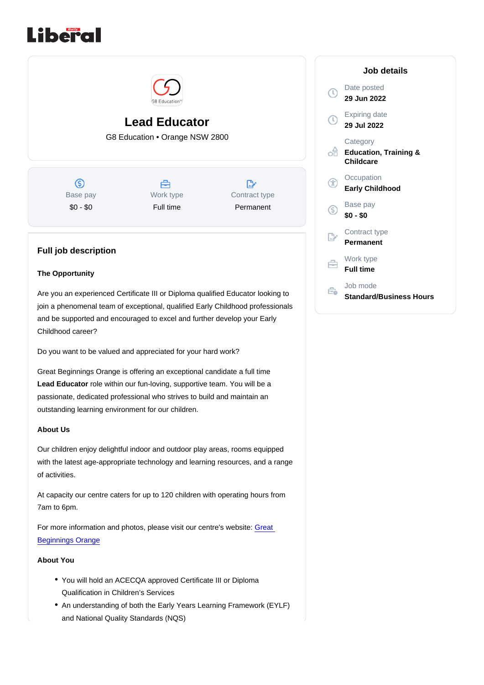# Lead Educator G8 Education • Orange NSW 2800

Base pay \$0 - \$0

Work type Full time

Contract type Permanent

## Full job description

#### The Opportunity

Are you an experienced Certificate III or Diploma qualified Educator looking to join a phenomenal team of exceptional, qualified Early Childhood professionals and be supported and encouraged to excel and further develop your Early Childhood career?

Do you want to be valued and appreciated for your hard work?

Great Beginnings Orange is offering an exceptional candidate a full time Lead Educator role within our fun-loving, supportive team. You will be a passionate, dedicated professional who strives to build and maintain an outstanding learning environment for our children.

#### About Us

Our children enjoy delightful indoor and outdoor play areas, rooms equipped with the latest age-appropriate technology and learning resources, and a range of activities.

At capacity our centre caters for up to 120 children with operating hours from 7am to 6pm.

For more information and photos, please visit our centre's website: [Great](https://www.greatbeginnings.com.au/childcare-orange)  [Beginnings Orange](https://www.greatbeginnings.com.au/childcare-orange)

### About You

- You will hold an ACECQA approved Certificate III or Diploma Qualification in Children's Services
- An understanding of both the Early Years Learning Framework (EYLF) and National Quality Standards (NQS)

#### Job details

Date posted 29 Jun 2022

Expiring date 29 Jul 2022

**Category** Education, Training & **Childcare** 

**Occupation** Early Childhood

Base pay \$0 - \$0

Contract type Permanent

Work type Full time

Job mode Standard/Business Hours